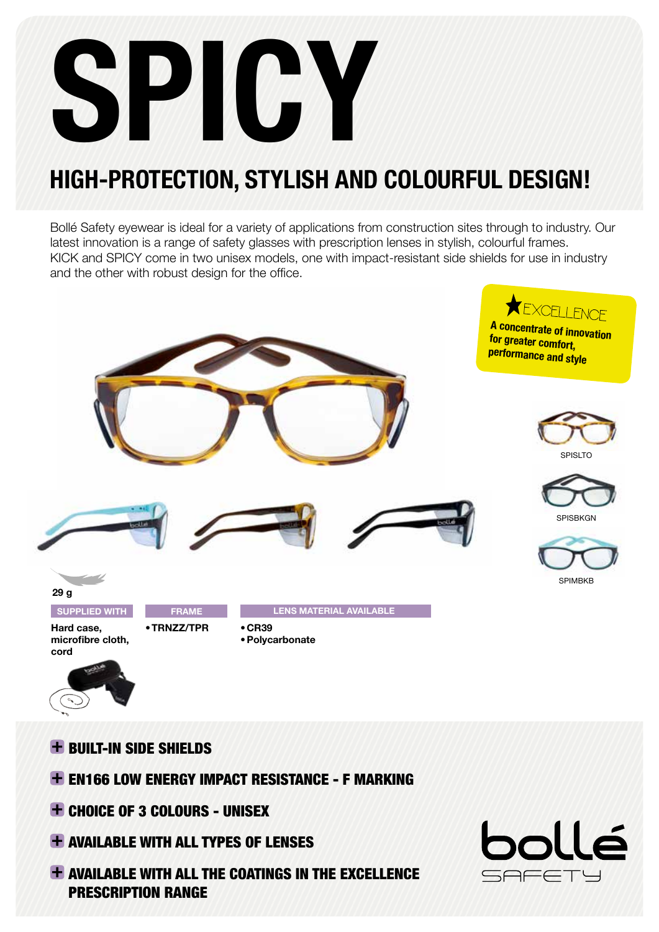# SPICY

## HIGH-PROTECTION, STYLISH AND COLOURFUL DESIGN!

and the other with robust design for the office. Bollé Safety eyewear is ideal for a variety of applications from construction sites through to industry. Our latest innovation is a range of safety glasses with prescription lenses in stylish, colourful frames. KICK and SPICY come in two unisex models, one with impact-resistant side shields for use in industry



- **+ BUILT-IN SIDE SHIELDS**
- EN166 LOW ENERGY IMPACT RESISTANCE F MARKING
- CHOICE OF 3 COLOURS UNISEX
- **+ AVAILABLE WITH ALL TYPES OF LENSES**
- **+ AVAILABLE WITH ALL THE COATINGS IN THE EXCELLENCE** PRESCRIPTION RANGE